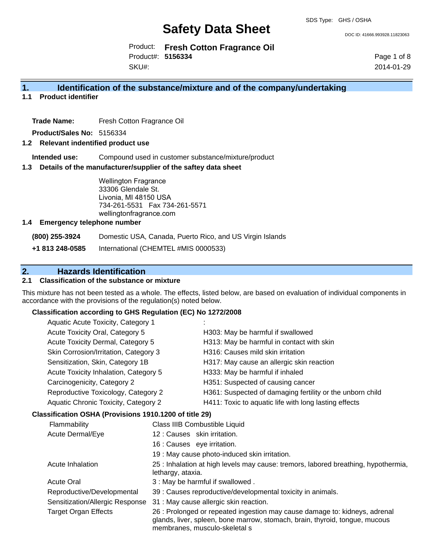DOC ID: 41666.993928.11823063

Product: **Fresh Cotton Fragrance Oil** Product#: **5156334** SKU#:

Page 1 of 8 2014-01-29

# **1. Identification of the substance/mixture and of the company/undertaking**

**1.1 Product identifier**

**Trade Name:** Fresh Cotton Fragrance Oil

**Product/Sales No:** 5156334

#### **1.2 Relevant indentified product use**

**Intended use:** Compound used in customer substance/mixture/product

#### **1.3 Details of the manufacturer/supplier of the saftey data sheet**

Wellington Fragrance 33306 Glendale St. Livonia, MI 48150 USA 734-261-5531 Fax 734-261-5571 wellingtonfragrance.com

#### **1.4 Emergency telephone number**

**(800) 255-3924** Domestic USA, Canada, Puerto Rico, and US Virgin Islands

**+1 813 248-0585** International (CHEMTEL #MIS 0000533)

# **2. Hazards Identification**

# **2.1 Classification of the substance or mixture**

This mixture has not been tested as a whole. The effects, listed below, are based on evaluation of individual components in accordance with the provisions of the regulation(s) noted below.

#### **Classification according to GHS Regulation (EC) No 1272/2008**

| Aquatic Acute Toxicity, Category 1                                                                                                                                                                                                                                                                                                 |                                                           |
|------------------------------------------------------------------------------------------------------------------------------------------------------------------------------------------------------------------------------------------------------------------------------------------------------------------------------------|-----------------------------------------------------------|
| Acute Toxicity Oral, Category 5                                                                                                                                                                                                                                                                                                    | H303: May be harmful if swallowed                         |
| Acute Toxicity Dermal, Category 5                                                                                                                                                                                                                                                                                                  | H313: May be harmful in contact with skin                 |
| Skin Corrosion/Irritation, Category 3                                                                                                                                                                                                                                                                                              | H316: Causes mild skin irritation                         |
| Sensitization, Skin, Category 1B                                                                                                                                                                                                                                                                                                   | H317: May cause an allergic skin reaction                 |
| Acute Toxicity Inhalation, Category 5                                                                                                                                                                                                                                                                                              | H333: May be harmful if inhaled                           |
| Carcinogenicity, Category 2                                                                                                                                                                                                                                                                                                        | H351: Suspected of causing cancer                         |
| Reproductive Toxicology, Category 2                                                                                                                                                                                                                                                                                                | H361: Suspected of damaging fertility or the unborn child |
| Aquatic Chronic Toxicity, Category 2                                                                                                                                                                                                                                                                                               | H411: Toxic to aquatic life with long lasting effects     |
| $\mathbf{r}$ $\mathbf{r}$ $\mathbf{r}$ $\mathbf{r}$ $\mathbf{r}$ $\mathbf{r}$ $\mathbf{r}$ $\mathbf{r}$ $\mathbf{r}$ $\mathbf{r}$ $\mathbf{r}$ $\mathbf{r}$ $\mathbf{r}$ $\mathbf{r}$ $\mathbf{r}$ $\mathbf{r}$ $\mathbf{r}$ $\mathbf{r}$ $\mathbf{r}$ $\mathbf{r}$ $\mathbf{r}$ $\mathbf{r}$ $\mathbf{r}$ $\mathbf{r}$ $\mathbf{$ |                                                           |

#### **Classification OSHA (Provisions 1910.1200 of title 29)**

| Flammability                    | Class IIIB Combustible Liquid                                                                                                                                                              |
|---------------------------------|--------------------------------------------------------------------------------------------------------------------------------------------------------------------------------------------|
| Acute Dermal/Eye                | 12: Causes skin irritation.                                                                                                                                                                |
|                                 | 16 : Causes eye irritation.                                                                                                                                                                |
|                                 | 19 : May cause photo-induced skin irritation.                                                                                                                                              |
| Acute Inhalation                | 25 : Inhalation at high levels may cause: tremors, labored breathing, hypothermia,<br>lethargy, ataxia.                                                                                    |
| <b>Acute Oral</b>               | 3 : May be harmful if swallowed.                                                                                                                                                           |
| Reproductive/Developmental      | 39 : Causes reproductive/developmental toxicity in animals.                                                                                                                                |
| Sensitization/Allergic Response | 31 : May cause allergic skin reaction.                                                                                                                                                     |
| <b>Target Organ Effects</b>     | 26 : Prolonged or repeated ingestion may cause damage to: kidneys, adrenal<br>glands, liver, spleen, bone marrow, stomach, brain, thyroid, tongue, mucous<br>membranes, musculo-skeletal s |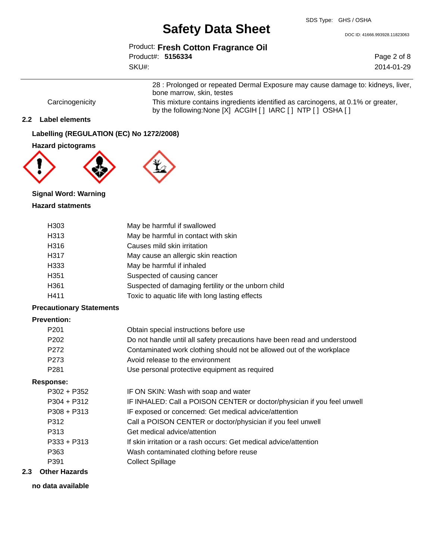DOC ID: 41666.993928.11823063

Product: **Fresh Cotton Fragrance Oil**

Product#: **5156334** SKU#:

Page 2 of 8 2014-01-29

28 : Prolonged or repeated Dermal Exposure may cause damage to: kidneys, liver, bone marrow, skin, testes Carcinogenicity This mixture contains ingredients identified as carcinogens, at 0.1% or greater,

by the following:None [X] ACGIH [ ] IARC [ ] NTP [ ] OSHA [ ]

## **2.2 Label elements**

**Labelling (REGULATION (EC) No 1272/2008)**

### **Hazard pictograms**





# **Signal Word: Warning Hazard statments**

| H303             | May be harmful if swallowed                         |
|------------------|-----------------------------------------------------|
| H313             | May be harmful in contact with skin                 |
| H316             | Causes mild skin irritation                         |
| H317             | May cause an allergic skin reaction                 |
| H333             | May be harmful if inhaled                           |
| H <sub>351</sub> | Suspected of causing cancer                         |
| H361             | Suspected of damaging fertility or the unborn child |
| H411             | Toxic to aquatic life with long lasting effects     |

### **Precautionary Statements**

# **Prevention:**

| P <sub>201</sub> | Obtain special instructions before use                                   |
|------------------|--------------------------------------------------------------------------|
| P <sub>202</sub> | Do not handle until all safety precautions have been read and understood |
| P <sub>272</sub> | Contaminated work clothing should not be allowed out of the workplace    |
| P <sub>273</sub> | Avoid release to the environment                                         |
| P <sub>281</sub> | Use personal protective equipment as required                            |
|                  |                                                                          |

#### **Response:**

| P302 + P352                        | IF ON SKIN: Wash with soap and water                                    |
|------------------------------------|-------------------------------------------------------------------------|
| $P304 + P312$                      | IF INHALED: Call a POISON CENTER or doctor/physician if you feel unwell |
| $P308 + P313$                      | IF exposed or concerned: Get medical advice/attention                   |
| P312                               | Call a POISON CENTER or doctor/physician if you feel unwell             |
| P313                               | Get medical advice/attention                                            |
| $P333 + P313$                      | If skin irritation or a rash occurs: Get medical advice/attention       |
| P363                               | Wash contaminated clothing before reuse                                 |
| P391                               | <b>Collect Spillage</b>                                                 |
| الملابين والمستحل المتمرد والمنافذ |                                                                         |

# **2.3 Other Hazards**

**no data available**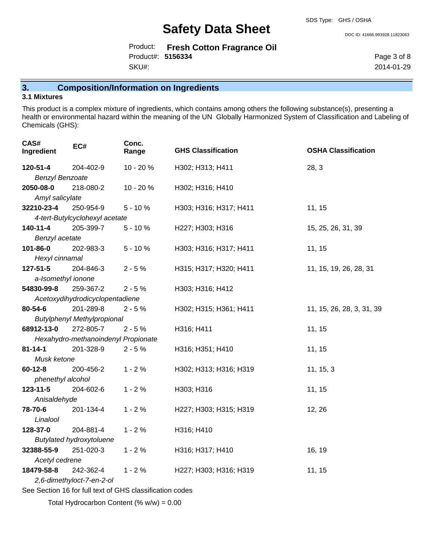Product: **Fresh Cotton Fragrance Oil** SKU#: Product#: **5156334**

Page 3 of 8

DOC ID: 41666.993928.11823063

2014-01-29

**3. Composition/Information on Ingredients**

## **3.1 Mixtures**

This product is a complex mixture of ingredients, which contains among others the following substance(s), presenting a health or environmental hazard within the meaning of the UN Globally Harmonized System of Classification and Labeling of Chemicals (GHS):

| CAS#<br>Ingredient     | EC#                                                      | Conc.<br>Range | <b>GHS Classification</b> | <b>OSHA Classification</b> |  |
|------------------------|----------------------------------------------------------|----------------|---------------------------|----------------------------|--|
| 120-51-4               | 204-402-9                                                | 10 - 20 %      | H302; H313; H411          | 28, 3                      |  |
| <b>Benzyl Benzoate</b> |                                                          |                |                           |                            |  |
| 2050-08-0              | 218-080-2                                                | 10 - 20 %      | H302; H316; H410          |                            |  |
| Amyl salicylate        |                                                          |                |                           |                            |  |
| 32210-23-4             | 250-954-9                                                | $5 - 10%$      | H303; H316; H317; H411    | 11, 15                     |  |
|                        | 4-tert-Butylcyclohexyl acetate                           |                |                           |                            |  |
| 140-11-4               | 205-399-7                                                | $5 - 10%$      | H227; H303; H316          | 15, 25, 26, 31, 39         |  |
| Benzyl acetate         |                                                          |                |                           |                            |  |
| 101-86-0               | 202-983-3                                                | $5 - 10%$      | H303; H316; H317; H411    | 11, 15                     |  |
| Hexyl cinnamal         |                                                          |                |                           |                            |  |
| $127 - 51 - 5$         | 204-846-3                                                | $2 - 5%$       | H315; H317; H320; H411    | 11, 15, 19, 26, 28, 31     |  |
| a-Isomethyl ionone     |                                                          |                |                           |                            |  |
| 54830-99-8             | 259-367-2                                                | $2 - 5%$       | H303; H316; H412          |                            |  |
|                        | Acetoxydihydrodicyclopentadiene                          |                |                           |                            |  |
| 80-54-6                | 201-289-8                                                | $2 - 5%$       | H302; H315; H361; H411    | 11, 15, 26, 28, 3, 31, 39  |  |
|                        | <b>Butylphenyl Methylpropional</b>                       |                |                           |                            |  |
| 68912-13-0             | 272-805-7                                                | $2 - 5%$       | H316; H411                | 11, 15                     |  |
|                        | Hexahydro-methanoindenyl Propionate                      |                |                           |                            |  |
| $81 - 14 - 1$          | 201-328-9                                                | $2 - 5%$       | H316; H351; H410          | 11, 15                     |  |
| Musk ketone            |                                                          |                |                           |                            |  |
| $60 - 12 - 8$          | 200-456-2                                                | $1 - 2%$       | H302; H313; H316; H319    | 11, 15, 3                  |  |
| phenethyl alcohol      |                                                          |                |                           |                            |  |
| $123 - 11 - 5$         | 204-602-6                                                | $1 - 2%$       | H303; H316                | 11, 15                     |  |
| Anisaldehyde           |                                                          |                |                           |                            |  |
| 78-70-6                | 201-134-4                                                | $1 - 2%$       | H227; H303; H315; H319    | 12, 26                     |  |
| Linalool               |                                                          |                |                           |                            |  |
| 128-37-0               | 204-881-4                                                | $1 - 2%$       | H316; H410                |                            |  |
|                        | <b>Butylated hydroxytoluene</b>                          |                |                           |                            |  |
| 32388-55-9             | 251-020-3                                                | $1 - 2%$       | H316; H317; H410          | 16, 19                     |  |
| Acetyl cedrene         |                                                          |                |                           |                            |  |
| 18479-58-8             | 242-362-4                                                | $1 - 2%$       | H227; H303; H316; H319    | 11, 15                     |  |
|                        | 2,6-dimethyloct-7-en-2-ol                                |                |                           |                            |  |
|                        | See Section 16 for full text of GHS classification codes |                |                           |                            |  |

Total Hydrocarbon Content (%  $w/w = 0.00$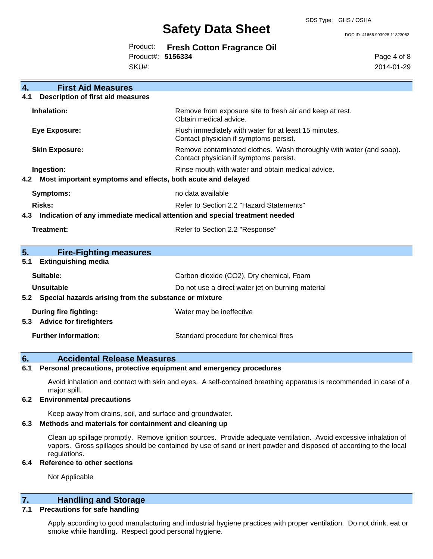DOC ID: 41666.993928.11823063

|                   | Product: Fresh Cotton Fragrance Oil |
|-------------------|-------------------------------------|
| Product#: 5156334 |                                     |
| SKU#:             |                                     |

Page 4 of 8 2014-01-29

| 4.                          | <b>First Aid Measures</b>                                                  |                                                                                                               |  |  |
|-----------------------------|----------------------------------------------------------------------------|---------------------------------------------------------------------------------------------------------------|--|--|
| 4.1                         | <b>Description of first aid measures</b>                                   |                                                                                                               |  |  |
|                             | Inhalation:                                                                | Remove from exposure site to fresh air and keep at rest.<br>Obtain medical advice.                            |  |  |
|                             | <b>Eye Exposure:</b>                                                       | Flush immediately with water for at least 15 minutes.<br>Contact physician if symptoms persist.               |  |  |
|                             | <b>Skin Exposure:</b>                                                      | Remove contaminated clothes. Wash thoroughly with water (and soap).<br>Contact physician if symptoms persist. |  |  |
|                             | Ingestion:                                                                 | Rinse mouth with water and obtain medical advice.                                                             |  |  |
| 4.2                         | Most important symptoms and effects, both acute and delayed                |                                                                                                               |  |  |
|                             | Symptoms:                                                                  | no data available                                                                                             |  |  |
| <b>Risks:</b>               |                                                                            | Refer to Section 2.2 "Hazard Statements"                                                                      |  |  |
| 4.3                         | Indication of any immediate medical attention and special treatment needed |                                                                                                               |  |  |
|                             | Treatment:                                                                 | Refer to Section 2.2 "Response"                                                                               |  |  |
| 5.                          | <b>Fire-Fighting measures</b>                                              |                                                                                                               |  |  |
| 5.1                         | <b>Extinguishing media</b>                                                 |                                                                                                               |  |  |
|                             | Suitable:                                                                  | Carbon dioxide (CO2), Dry chemical, Foam                                                                      |  |  |
|                             | <b>Unsuitable</b>                                                          | Do not use a direct water jet on burning material                                                             |  |  |
| 5.2                         | Special hazards arising from the substance or mixture                      |                                                                                                               |  |  |
| 5.3                         | <b>During fire fighting:</b><br><b>Advice for firefighters</b>             | Water may be ineffective                                                                                      |  |  |
| <b>Further information:</b> |                                                                            |                                                                                                               |  |  |

# **6. Accidental Release Measures**

### **6.1 Personal precautions, protective equipment and emergency procedures**

Avoid inhalation and contact with skin and eyes. A self-contained breathing apparatus is recommended in case of a major spill.

#### **6.2 Environmental precautions**

Keep away from drains, soil, and surface and groundwater.

## **6.3 Methods and materials for containment and cleaning up**

Clean up spillage promptly. Remove ignition sources. Provide adequate ventilation. Avoid excessive inhalation of vapors. Gross spillages should be contained by use of sand or inert powder and disposed of according to the local regulations.

## **6.4 Reference to other sections**

Not Applicable

# **7. Handling and Storage**

## **7.1 Precautions for safe handling**

Apply according to good manufacturing and industrial hygiene practices with proper ventilation. Do not drink, eat or smoke while handling. Respect good personal hygiene.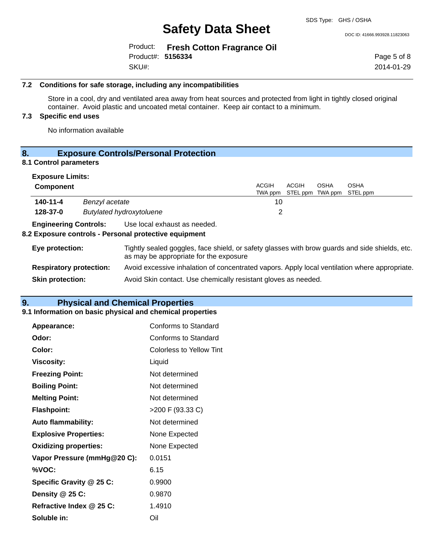DOC ID: 41666.993928.11823063

|                   | Product: Fresh Cotton Fragrance Oil |
|-------------------|-------------------------------------|
| Product#: 5156334 |                                     |
| SKU#:             |                                     |

Page 5 of 8 2014-01-29

## **7.2 Conditions for safe storage, including any incompatibilities**

Store in a cool, dry and ventilated area away from heat sources and protected from light in tightly closed original container. Avoid plastic and uncoated metal container. Keep air contact to a minimum.

# **7.3 Specific end uses**

No information available

# **8. Exposure Controls/Personal Protection**

# **8.1 Control parameters**

| <b>Exposure Limits:</b>        |                |                                                                                                                                          |                         |       |             |                                          |
|--------------------------------|----------------|------------------------------------------------------------------------------------------------------------------------------------------|-------------------------|-------|-------------|------------------------------------------|
| Component                      |                |                                                                                                                                          | <b>ACGIH</b><br>TWA ppm | ACGIH | <b>OSHA</b> | <b>OSHA</b><br>STEL ppm TWA ppm STEL ppm |
| 140-11-4                       | Benzyl acetate |                                                                                                                                          | 10                      |       |             |                                          |
| 128-37-0                       |                | <b>Butylated hydroxytoluene</b>                                                                                                          | 2                       |       |             |                                          |
| <b>Engineering Controls:</b>   |                | Use local exhaust as needed.<br>8.2 Exposure controls - Personal protective equipment                                                    |                         |       |             |                                          |
| Eye protection:                |                | Tightly sealed goggles, face shield, or safety glasses with brow guards and side shields, etc.<br>as may be appropriate for the exposure |                         |       |             |                                          |
| <b>Respiratory protection:</b> |                | Avoid excessive inhalation of concentrated vapors. Apply local ventilation where appropriate.                                            |                         |       |             |                                          |
| <b>Skin protection:</b>        |                | Avoid Skin contact. Use chemically resistant gloves as needed.                                                                           |                         |       |             |                                          |

# **9. Physical and Chemical Properties**

#### **9.1 Information on basic physical and chemical properties**

| Appearance:                  | <b>Conforms to Standard</b> |
|------------------------------|-----------------------------|
| Odor:                        | Conforms to Standard        |
| Color:                       | Colorless to Yellow Tint    |
| <b>Viscosity:</b>            | Liquid                      |
| <b>Freezing Point:</b>       | Not determined              |
| <b>Boiling Point:</b>        | Not determined              |
| <b>Melting Point:</b>        | Not determined              |
| <b>Flashpoint:</b>           | $>200$ F (93.33 C)          |
| <b>Auto flammability:</b>    | Not determined              |
| <b>Explosive Properties:</b> | None Expected               |
| <b>Oxidizing properties:</b> | None Expected               |
| Vapor Pressure (mmHg@20 C):  | 0.0151                      |
| %VOC:                        | 6.15                        |
| Specific Gravity @ 25 C:     | 0.9900                      |
| Density @ 25 C:              | 0.9870                      |
| Refractive Index @ 25 C:     | 1.4910                      |
| Soluble in:                  | Oil                         |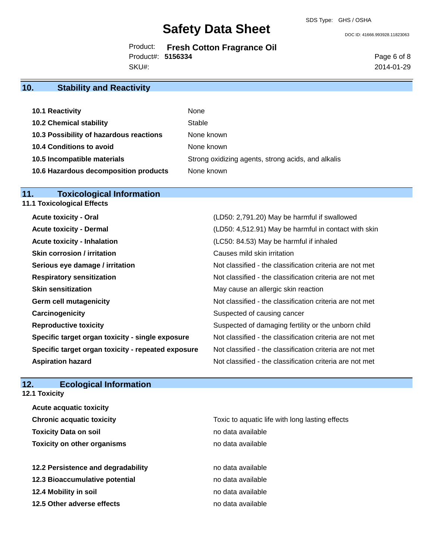Product: **Fresh Cotton Fragrance Oil** SKU#: Product#: **5156334**

DOC ID: 41666.993928.11823063

Page 6 of 8 2014-01-29

# **10. Stability and Reactivity**

| 10.1 Reactivity                         | None                                               |
|-----------------------------------------|----------------------------------------------------|
| <b>10.2 Chemical stability</b>          | Stable                                             |
| 10.3 Possibility of hazardous reactions | None known                                         |
| 10.4 Conditions to avoid                | None known                                         |
| 10.5 Incompatible materials             | Strong oxidizing agents, strong acids, and alkalis |
| 10.6 Hazardous decomposition products   | None known                                         |

# **11. Toxicological Information**

| 11.1 Toxicological Effects                         |                                                          |
|----------------------------------------------------|----------------------------------------------------------|
| <b>Acute toxicity - Oral</b>                       | (LD50: 2,791.20) May be harmful if swallowed             |
| <b>Acute toxicity - Dermal</b>                     | (LD50: 4,512.91) May be harmful in contact with skin     |
| <b>Acute toxicity - Inhalation</b>                 | (LC50: 84.53) May be harmful if inhaled                  |
| <b>Skin corrosion / irritation</b>                 | Causes mild skin irritation                              |
| Serious eye damage / irritation                    | Not classified - the classification criteria are not met |
| <b>Respiratory sensitization</b>                   | Not classified - the classification criteria are not met |
| <b>Skin sensitization</b>                          | May cause an allergic skin reaction                      |
| <b>Germ cell mutagenicity</b>                      | Not classified - the classification criteria are not met |
| Carcinogenicity                                    | Suspected of causing cancer                              |
| <b>Reproductive toxicity</b>                       | Suspected of damaging fertility or the unborn child      |
| Specific target organ toxicity - single exposure   | Not classified - the classification criteria are not met |
| Specific target organ toxicity - repeated exposure | Not classified - the classification criteria are not met |
| <b>Aspiration hazard</b>                           | Not classified - the classification criteria are not met |
|                                                    |                                                          |

# **12. Ecological Information**

**12.1 Toxicity**

| <b>Acute acquatic toxicity</b>     |                                                 |
|------------------------------------|-------------------------------------------------|
| <b>Chronic acquatic toxicity</b>   | Toxic to aquatic life with long lasting effects |
| <b>Toxicity Data on soil</b>       | no data available                               |
| <b>Toxicity on other organisms</b> | no data available                               |
|                                    |                                                 |
| 12.2 Persistence and degradability | no data available                               |
| 12.3 Bioaccumulative potential     | no data available                               |
| 12.4 Mobility in soil              | no data available                               |
| 12.5 Other adverse effects         | no data available                               |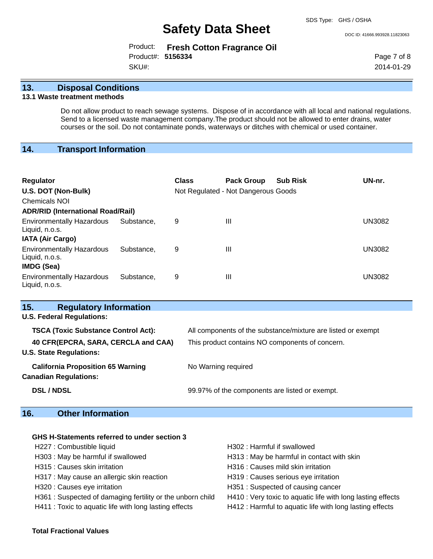DOC ID: 41666.993928.11823063

|                   | Product: Fresh Cotton Fragrance Oil |
|-------------------|-------------------------------------|
| Product#: 5156334 |                                     |
| SKU#:             |                                     |

Page 7 of 8 2014-01-29

# **13. Disposal Conditions**

## **13.1 Waste treatment methods**

Do not allow product to reach sewage systems. Dispose of in accordance with all local and national regulations. Send to a licensed waste management company.The product should not be allowed to enter drains, water courses or the soil. Do not contaminate ponds, waterways or ditches with chemical or used container.

# **14. Transport Information**

| <b>Regulator</b><br>U.S. DOT (Non-Bulk)<br>Chemicals NOI<br><b>ADR/RID (International Road/Rail)</b> |            | <b>Class</b> | <b>Pack Group</b><br>Not Regulated - Not Dangerous Goods | <b>Sub Risk</b> | UN-nr.        |
|------------------------------------------------------------------------------------------------------|------------|--------------|----------------------------------------------------------|-----------------|---------------|
| <b>Environmentally Hazardous</b><br>Liquid, n.o.s.<br><b>IATA (Air Cargo)</b>                        | Substance. | 9            | $\mathbf{III}$                                           |                 | <b>UN3082</b> |
| <b>Environmentally Hazardous</b><br>Liquid, n.o.s.<br><b>IMDG (Sea)</b>                              | Substance. | 9            | $\mathbf{III}$                                           |                 | <b>UN3082</b> |
| <b>Environmentally Hazardous</b><br>Liquid, n.o.s.                                                   | Substance. | 9            | Ш                                                        |                 | UN3082        |

| <b>Regulatory Information</b><br>15.                                     |                                                              |  |
|--------------------------------------------------------------------------|--------------------------------------------------------------|--|
| <b>U.S. Federal Regulations:</b>                                         |                                                              |  |
| <b>TSCA (Toxic Substance Control Act):</b>                               | All components of the substance/mixture are listed or exempt |  |
| 40 CFR(EPCRA, SARA, CERCLA and CAA)<br><b>U.S. State Regulations:</b>    | This product contains NO components of concern.              |  |
| <b>California Proposition 65 Warning</b><br><b>Canadian Regulations:</b> | No Warning required                                          |  |
| <b>DSL / NDSL</b>                                                        | 99.97% of the components are listed or exempt.               |  |

# **16. Other Information**

# **GHS H-Statements referred to under section 3**

| H227 : Combustible liquid                                 | H302: Harmful if swallowed                                  |
|-----------------------------------------------------------|-------------------------------------------------------------|
| H303 : May be harmful if swallowed                        | H313 : May be harmful in contact with skin                  |
| H315 : Causes skin irritation                             | H316 : Causes mild skin irritation                          |
| H317 : May cause an allergic skin reaction                | H319 : Causes serious eye irritation                        |
| H320 : Causes eye irritation                              | H351: Suspected of causing cancer                           |
| H361: Suspected of damaging fertility or the unborn child | H410 : Very toxic to aquatic life with long lasting effects |
| H411 : Toxic to aquatic life with long lasting effects    | H412 : Harmful to aquatic life with long lasting effects    |

#### **Total Fractional Values**